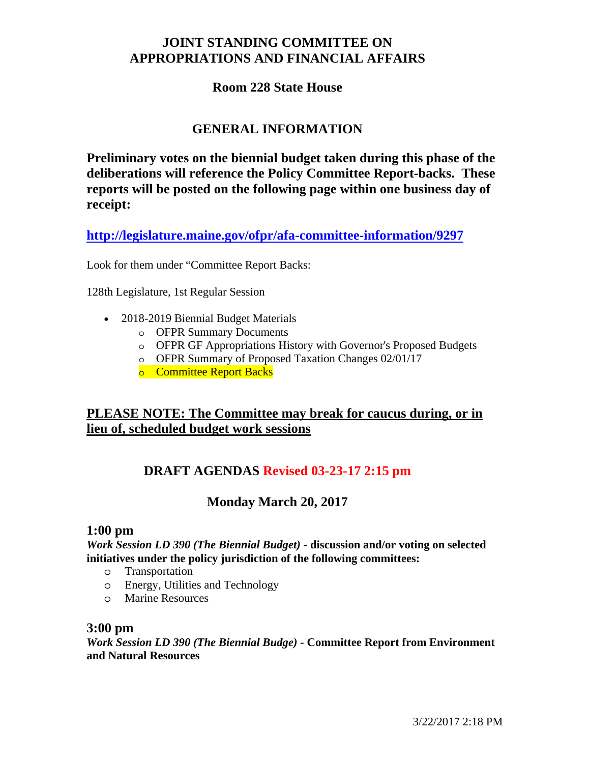# **JOINT STANDING COMMITTEE ON APPROPRIATIONS AND FINANCIAL AFFAIRS**

### **Room 228 State House**

# **GENERAL INFORMATION**

**Preliminary votes on the biennial budget taken during this phase of the deliberations will reference the Policy Committee Report-backs. These reports will be posted on the following page within one business day of receipt:** 

**http://legislature.maine.gov/ofpr/afa-committee-information/9297**

Look for them under "Committee Report Backs:

128th Legislature, 1st Regular Session

- 2018-2019 Biennial Budget Materials
	- o OFPR Summary Documents
	- o OFPR GF Appropriations History with Governor's Proposed Budgets
	- o OFPR Summary of Proposed Taxation Changes 02/01/17
	- o Committee Report Backs

# **PLEASE NOTE: The Committee may break for caucus during, or in lieu of, scheduled budget work sessions**

# **DRAFT AGENDAS Revised 03-23-17 2:15 pm**

## **Monday March 20, 2017**

#### **1:00 pm**

*Work Session LD 390 (The Biennial Budget) -* **discussion and/or voting on selected initiatives under the policy jurisdiction of the following committees:** 

- o Transportation
- o Energy, Utilities and Technology
- o Marine Resources

### **3:00 pm**

*Work Session LD 390 (The Biennial Budge) -* **Committee Report from Environment and Natural Resources**